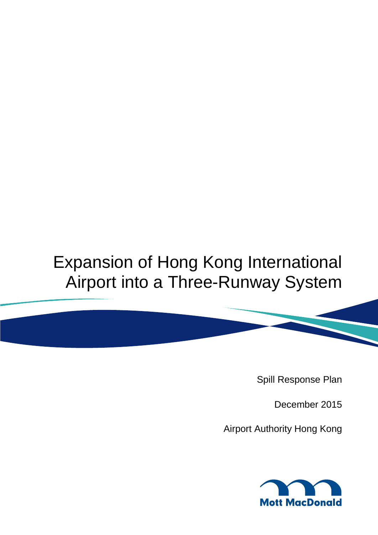# Expansion of Hong Kong International Airport into a Three-Runway System

Spill Response Plan

December 2015

Airport Authority Hong Kong

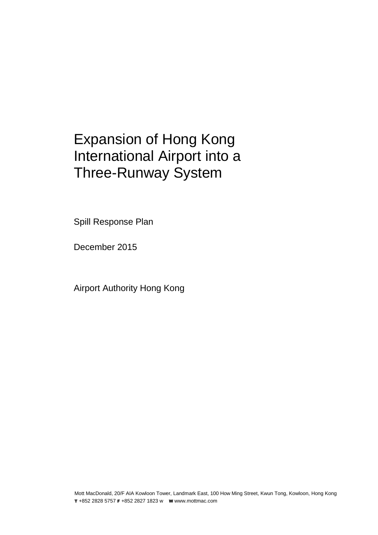### Expansion of Hong Kong International Airport into a Three-Runway System

Spill Response Plan

December 2015

Airport Authority Hong Kong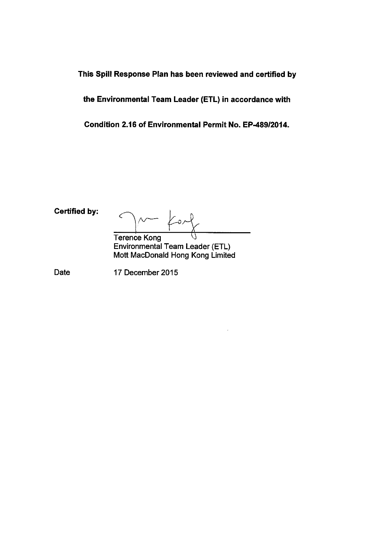This Spill Response Plan has been reviewed and certified by

the Environmental Team Leader (ETL) in accordance with

Condition 2.16 of Environmental Permit No. EP-489/2014.

**Certified by:** 

Ć  $M$  for

**Terence Kong** Environmental Team Leader (ETL) Mott MacDonald Hong Kong Limited

Date

17 December 2015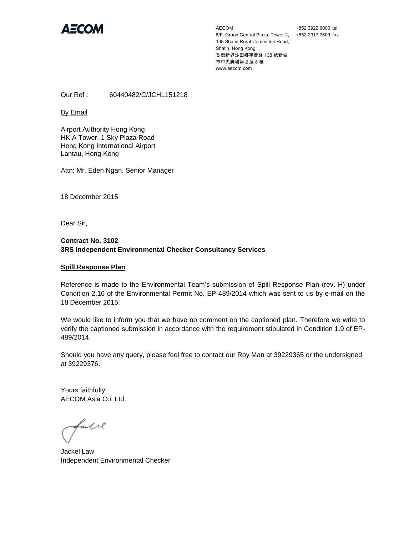

AECOM 8/F, Grand Central Plaza, Tower 2, +852 2317 7609 fax 138 Shatin Rural Committee Road, Shatin, Hong Kong 香港新界沙田鄉事會路 138 號新城 市中央廣場第 2 座 8 樓 www.aecom.com

+852 3922 9000 tel

Our Ref : 60440482/C/JCHL151218

By Email

Airport Authority Hong Kong HKIA Tower, 1 Sky Plaza Road Hong Kong International Airport Lantau, Hong Kong

Attn: Mr. Eden Ngan, Senior Manager

18 December 2015

Dear Sir,

#### **Contract No. 3102 3RS Independent Environmental Checker Consultancy Services**

#### **Spill Response Plan**

Reference is made to the Environmental Team's submission of Spill Response Plan (rev. H) under Condition 2.16 of the Environmental Permit No. EP-489/2014 which was sent to us by e-mail on the 18 December 2015.

We would like to inform you that we have no comment on the captioned plan. Therefore we write to verify the captioned submission in accordance with the requirement stipulated in Condition 1.9 of EP-489/2014.

Should you have any query, please feel free to contact our Roy Man at 39229365 or the undersigned at 39229376.

Yours faithfully, AECOM Asia Co. Ltd.

fall

Jackel Law Independent Environmental Checker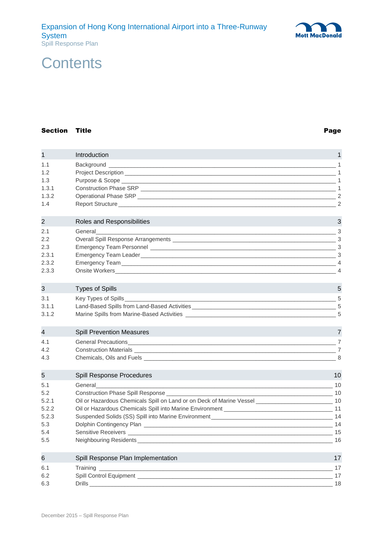### **Contents**

#### Section Title **Page**

| $\mathbf 1$              | Introduction                                                                                                                                                                                                                         | 1                                                         |
|--------------------------|--------------------------------------------------------------------------------------------------------------------------------------------------------------------------------------------------------------------------------------|-----------------------------------------------------------|
| 1.1                      | Background                                                                                                                                                                                                                           | 1                                                         |
| 1.2                      |                                                                                                                                                                                                                                      |                                                           |
| 1.3                      |                                                                                                                                                                                                                                      | $\frac{1}{\sqrt{1-\frac{1}{2}}}\left  \frac{1}{2}\right $ |
| 1.3.1                    |                                                                                                                                                                                                                                      | - 1                                                       |
| 1.3.2<br>1.4             |                                                                                                                                                                                                                                      | $\overline{2}$<br>$\overline{2}$                          |
|                          |                                                                                                                                                                                                                                      |                                                           |
| $\overline{2}$           | Roles and Responsibilities                                                                                                                                                                                                           | 3                                                         |
| 2.1                      | General                                                                                                                                                                                                                              | 3                                                         |
| 2.2                      |                                                                                                                                                                                                                                      | $\cdot$ 3                                                 |
| 2.3                      |                                                                                                                                                                                                                                      | _ 3                                                       |
| 2.3.1                    | Emergency Team Leader <b>Exercise Contract Contract Contract Contract Contract Contract Contract Contract Contract Contract Contract Contract Contract Contract Contract Contract Contract Contract Contract Contract Contract C</b> | -3                                                        |
| 2.3.2                    |                                                                                                                                                                                                                                      | $\overline{4}$                                            |
| 2.3.3                    | Onsite Workers <b>Constitution Constitution Constitution Constitution Constitution Constitution Constitution</b>                                                                                                                     | $\overline{4}$                                            |
| 3                        | <b>Types of Spills</b>                                                                                                                                                                                                               | 5                                                         |
| 3.1                      | Key Types of Spills_                                                                                                                                                                                                                 | 5                                                         |
| 3.1.1                    | Land-Based Spills from Land-Based Activities ___________________________________                                                                                                                                                     | -5                                                        |
| 3.1.2                    |                                                                                                                                                                                                                                      | 5                                                         |
| $\overline{\mathcal{A}}$ | <b>Spill Prevention Measures</b>                                                                                                                                                                                                     | 7                                                         |
| 4.1                      |                                                                                                                                                                                                                                      | $\overline{7}$                                            |
| 4.2                      |                                                                                                                                                                                                                                      | - 7                                                       |
| 4.3                      |                                                                                                                                                                                                                                      | 8                                                         |
| 5                        | Spill Response Procedures                                                                                                                                                                                                            | 10                                                        |
| 5.1                      | General                                                                                                                                                                                                                              | 10                                                        |
| 5.2                      | Construction Phase Spill Response ___________                                                                                                                                                                                        |                                                           |
| 5.2.1                    | Oil or Hazardous Chemicals Spill on Land or on Deck of Marine Vessel _______________________________ 10                                                                                                                              |                                                           |
| 5.2.2                    |                                                                                                                                                                                                                                      |                                                           |
| 5.2.3                    |                                                                                                                                                                                                                                      |                                                           |
| 5.3                      |                                                                                                                                                                                                                                      |                                                           |
| 5.4                      |                                                                                                                                                                                                                                      |                                                           |
| 5.5                      |                                                                                                                                                                                                                                      |                                                           |
| 6                        | Spill Response Plan Implementation                                                                                                                                                                                                   | 17                                                        |
| 6.1                      | <b>Training</b>                                                                                                                                                                                                                      | - 17                                                      |
| 6.2                      | Spill Control Equipment ___                                                                                                                                                                                                          | 17                                                        |

6.3 Drills [\\_\\_\\_\\_\\_\\_\\_\\_\\_\\_\\_\\_\\_\\_\\_\\_\\_\\_\\_\\_\\_\\_\\_\\_\\_\\_\\_\\_\\_\\_\\_\\_\\_\\_\\_\\_\\_\\_\\_\\_\\_\\_\\_\\_\\_\\_\\_\\_\\_\\_\\_\\_\\_\\_\\_\\_\\_\\_\\_\\_\\_\\_\\_\\_\\_\\_\\_\\_\\_\\_\\_\\_\\_\\_\\_\\_](#page-24-0) 18

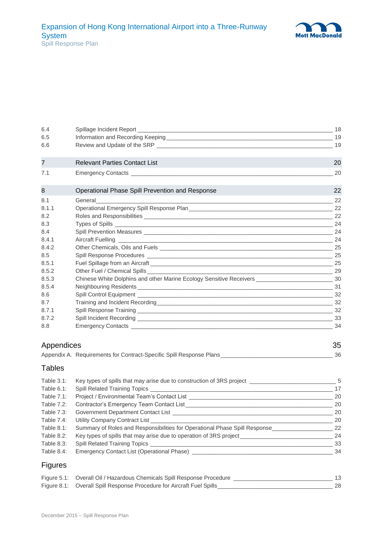| 6.4            |                                                                                                                                                                                                                                     | 18  |
|----------------|-------------------------------------------------------------------------------------------------------------------------------------------------------------------------------------------------------------------------------------|-----|
| 6.5            |                                                                                                                                                                                                                                     |     |
| 6.6            |                                                                                                                                                                                                                                     |     |
| $\overline{7}$ | <b>Relevant Parties Contact List</b>                                                                                                                                                                                                | 20  |
| 7.1            | Emergency Contacts <b>Exercise Contacts</b> and the contact of the contact of the contact of the contact of the contact of the contact of the contact of the contact of the contact of the contact of the contact of the contact of | 20  |
| 8              | Operational Phase Spill Prevention and Response                                                                                                                                                                                     | 22  |
| 8.1            | General<br><u> 1989 - Jan Alexandro Alexandro Alexandro Alexandro Alexandro Alexandro Alexandro Alexandro Alexandro Alexandr</u>                                                                                                    | 22  |
| 8.1.1          |                                                                                                                                                                                                                                     |     |
| 8.2            |                                                                                                                                                                                                                                     |     |
| 8.3            |                                                                                                                                                                                                                                     | 24  |
| 8.4            |                                                                                                                                                                                                                                     |     |
| 8.4.1          |                                                                                                                                                                                                                                     |     |
| 8.4.2          |                                                                                                                                                                                                                                     | 25  |
| 8.5            |                                                                                                                                                                                                                                     |     |
| 8.5.1          |                                                                                                                                                                                                                                     | 25  |
| 8.5.2          |                                                                                                                                                                                                                                     |     |
| 8.5.3          |                                                                                                                                                                                                                                     |     |
| 8.5.4          |                                                                                                                                                                                                                                     | 31  |
| 8.6            |                                                                                                                                                                                                                                     |     |
| 8.7            |                                                                                                                                                                                                                                     |     |
| 8.7.1          |                                                                                                                                                                                                                                     |     |
| 8.7.2          |                                                                                                                                                                                                                                     |     |
| 8.8            |                                                                                                                                                                                                                                     | -34 |

| Appendices |                                                                     |  |
|------------|---------------------------------------------------------------------|--|
|            | Appendix A. Requirements for Contract-Specific Spill Response Plans |  |

### Tables

| Table $3.1$ :     | Key types of spills that may arise due to construction of 3RS project            | -5 |
|-------------------|----------------------------------------------------------------------------------|----|
| Table 6.1:        |                                                                                  | 17 |
| Table $7.1$ :     | Project / Environmental Team's Contact List                                      | 20 |
| Table 7.2:        | Contractor's Emergency Team Contact List                                         | 20 |
| <b>Table 7.3:</b> | Government Department Contact List _____                                         | 20 |
| Table 7.4:        | Utility Company Contract List__________                                          | 20 |
| Table 8.1:        | Summary of Roles and Responsibilities for Operational Phase Spill Response       | 22 |
| Table 8.2:        | Key types of spills that may arise due to operation of 3RS project______________ | 24 |
| Table 8.3:        |                                                                                  | 33 |
| Table 8.4:        | Emergency Contact List (Operational Phase) _________                             | 34 |

### Figures

| Figure 5.1: Overall Oil / Hazardous Chemicals Spill Response Procedure |    |
|------------------------------------------------------------------------|----|
| Figure 8.1: Overall Spill Response Procedure for Aircraft Fuel Spills  | 28 |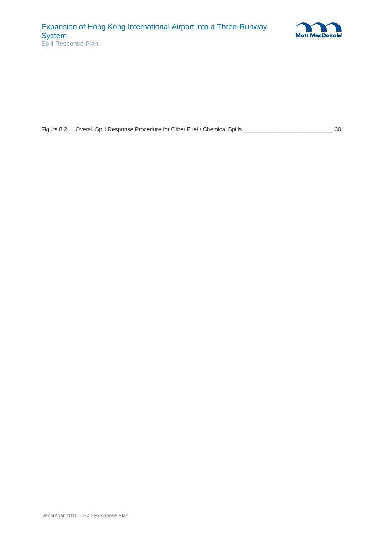

| Figure 8.2: Overall Spill Response Procedure for Other Fuel / Chemical Spills | 30 |
|-------------------------------------------------------------------------------|----|
|                                                                               |    |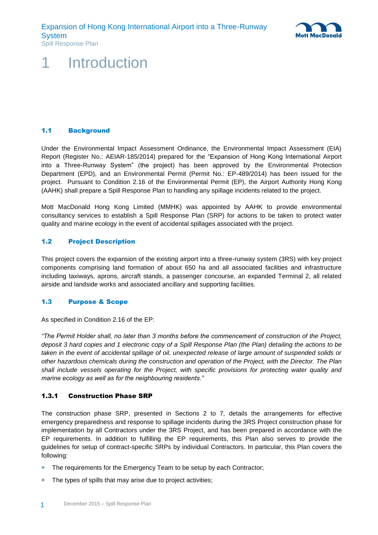

### <span id="page-7-0"></span>**Introduction**

#### <span id="page-7-1"></span>1.1 Background

Under the Environmental Impact Assessment Ordinance, the Environmental Impact Assessment (EIA) Report (Register No.: AEIAR-185/2014) prepared for the "Expansion of Hong Kong International Airport into a Three-Runway System" (the project) has been approved by the Environmental Protection Department (EPD), and an Environmental Permit (Permit No.: EP-489/2014) has been issued for the project. Pursuant to Condition 2.16 of the Environmental Permit (EP), the Airport Authority Hong Kong (AAHK) shall prepare a Spill Response Plan to handling any spillage incidents related to the project.

Mott MacDonald Hong Kong Limited (MMHK) was appointed by AAHK to provide environmental consultancy services to establish a Spill Response Plan (SRP) for actions to be taken to protect water quality and marine ecology in the event of accidental spillages associated with the project.

#### <span id="page-7-2"></span>1.2 Project Description

This project covers the expansion of the existing airport into a three-runway system (3RS) with key project components comprising land formation of about 650 ha and all associated facilities and infrastructure including taxiways, aprons, aircraft stands, a passenger concourse, an expanded Terminal 2, all related airside and landside works and associated ancillary and supporting facilities.

#### <span id="page-7-3"></span>1.3 Purpose & Scope

As specified in Condition 2.16 of the EP:

*"The Permit Holder shall, no later than 3 months before the commencement of construction of the Project, deposit 3 hard copies and 1 electronic copy of a Spill Response Plan (the Plan) detailing the actions to be taken in the event of accidental spillage of oil, unexpected release of large amount of suspended solids or other hazardous chemicals during the construction and operation of the Project, with the Director. The Plan shall include vessels operating for the Project, with specific provisions for protecting water quality and marine ecology as well as for the neighbouring residents."*

#### <span id="page-7-4"></span>1.3.1 Construction Phase SRP

The construction phase SRP, presented in Sections 2 to 7, details the arrangements for effective emergency preparedness and response to spillage incidents during the 3RS Project construction phase for implementation by all Contractors under the 3RS Project, and has been prepared in accordance with the EP requirements. In addition to fulfilling the EP requirements, this Plan also serves to provide the guidelines for setup of contract-specific SRPs by individual Contractors. In particular, this Plan covers the following:

- The requirements for the Emergency Team to be setup by each Contractor;
- The types of spills that may arise due to project activities;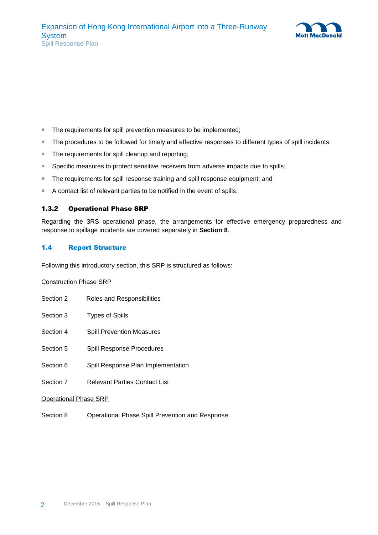

- The requirements for spill prevention measures to be implemented;
- The procedures to be followed for timely and effective responses to different types of spill incidents;
- The requirements for spill cleanup and reporting;
- Specific measures to protect sensitive receivers from adverse impacts due to spills;
- The requirements for spill response training and spill response equipment; and
- <span id="page-8-0"></span>A contact list of relevant parties to be notified in the event of spills.

#### 1.3.2 Operational Phase SRP

Regarding the 3RS operational phase, the arrangements for effective emergency preparedness and response to spillage incidents are covered separately in **Section 8**.

#### <span id="page-8-1"></span>1.4 Report Structure

Following this introductory section, this SRP is structured as follows:

#### Construction Phase SRP

| Section 2             | Roles and Responsibilities           |  |
|-----------------------|--------------------------------------|--|
| Section 3             | <b>Types of Spills</b>               |  |
| Section 4             | <b>Spill Prevention Measures</b>     |  |
| Section 5             | <b>Spill Response Procedures</b>     |  |
| Section 6             | Spill Response Plan Implementation   |  |
| Section 7             | <b>Relevant Parties Contact List</b> |  |
| Operational Phase SRP |                                      |  |

Section 8 Operational Phase Spill Prevention and Response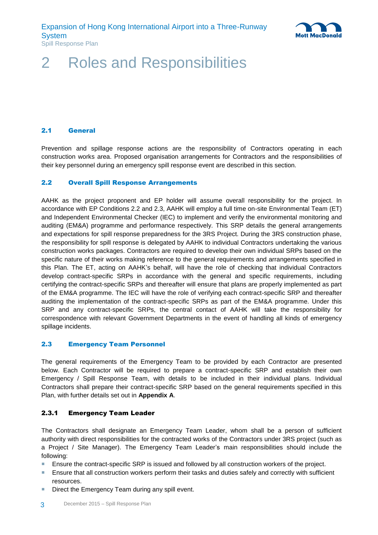

### <span id="page-9-0"></span>2 Roles and Responsibilities

#### <span id="page-9-1"></span>2.1 General

Prevention and spillage response actions are the responsibility of Contractors operating in each construction works area. Proposed organisation arrangements for Contractors and the responsibilities of their key personnel during an emergency spill response event are described in this section.

#### <span id="page-9-2"></span>2.2 Overall Spill Response Arrangements

AAHK as the project proponent and EP holder will assume overall responsibility for the project. In accordance with EP Conditions 2.2 and 2.3, AAHK will employ a full time on-site Environmental Team (ET) and Independent Environmental Checker (IEC) to implement and verify the environmental monitoring and auditing (EM&A) programme and performance respectively. This SRP details the general arrangements and expectations for spill response preparedness for the 3RS Project. During the 3RS construction phase, the responsibility for spill response is delegated by AAHK to individual Contractors undertaking the various construction works packages. Contractors are required to develop their own individual SRPs based on the specific nature of their works making reference to the general requirements and arrangements specified in this Plan. The ET, acting on AAHK's behalf, will have the role of checking that individual Contractors develop contract-specific SRPs in accordance with the general and specific requirements, including certifying the contract-specific SRPs and thereafter will ensure that plans are properly implemented as part of the EM&A programme. The IEC will have the role of verifying each contract-specific SRP and thereafter auditing the implementation of the contract-specific SRPs as part of the EM&A programme. Under this SRP and any contract-specific SRPs, the central contact of AAHK will take the responsibility for correspondence with relevant Government Departments in the event of handling all kinds of emergency spillage incidents.

#### <span id="page-9-3"></span>2.3 Emergency Team Personnel

The general requirements of the Emergency Team to be provided by each Contractor are presented below. Each Contractor will be required to prepare a contract-specific SRP and establish their own Emergency / Spill Response Team, with details to be included in their individual plans. Individual Contractors shall prepare their contract-specific SRP based on the general requirements specified in this Plan, with further details set out in **Appendix A**.

#### <span id="page-9-4"></span>2.3.1 Emergency Team Leader

The Contractors shall designate an Emergency Team Leader, whom shall be a person of sufficient authority with direct responsibilities for the contracted works of the Contractors under 3RS project (such as a Project / Site Manager). The Emergency Team Leader's main responsibilities should include the following:

- **E** Ensure the contract-specific SRP is issued and followed by all construction workers of the project.
- **E** Ensure that all construction workers perform their tasks and duties safely and correctly with sufficient resources.
- Direct the Emergency Team during any spill event.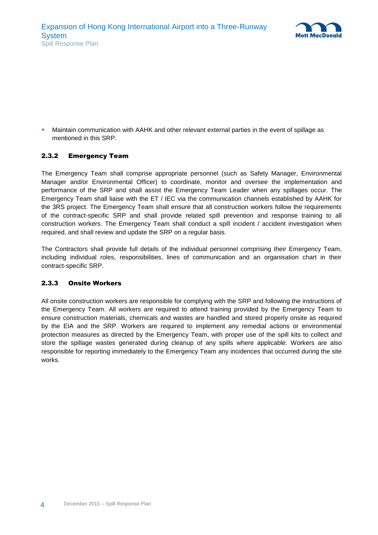

 Maintain communication with AAHK and other relevant external parties in the event of spillage as mentioned in this SRP.

#### <span id="page-10-0"></span>2.3.2 Emergency Team

The Emergency Team shall comprise appropriate personnel (such as Safety Manager, Environmental Manager and/or Environmental Officer) to coordinate, monitor and oversee the implementation and performance of the SRP and shall assist the Emergency Team Leader when any spillages occur. The Emergency Team shall liaise with the ET / IEC via the communication channels established by AAHK for the 3RS project. The Emergency Team shall ensure that all construction workers follow the requirements of the contract-specific SRP and shall provide related spill prevention and response training to all construction workers. The Emergency Team shall conduct a spill incident / accident investigation when required, and shall review and update the SRP on a regular basis.

The Contractors shall provide full details of the individual personnel comprising their Emergency Team, including individual roles, responsibilities, lines of communication and an organisation chart in their contract-specific SRP.

#### <span id="page-10-1"></span>2.3.3 Onsite Workers

All onsite construction workers are responsible for complying with the SRP and following the instructions of the Emergency Team. All workers are required to attend training provided by the Emergency Team to ensure construction materials, chemicals and wastes are handled and stored properly onsite as required by the EIA and the SRP. Workers are required to implement any remedial actions or environmental protection measures as directed by the Emergency Team, with proper use of the spill kits to collect and store the spillage wastes generated during cleanup of any spills where applicable. Workers are also responsible for reporting immediately to the Emergency Team any incidences that occurred during the site works.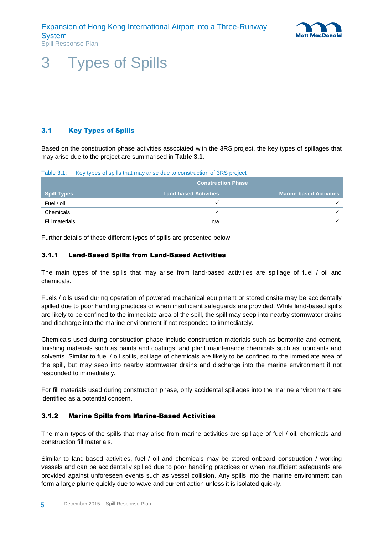

### <span id="page-11-0"></span>3 Types of Spills

### <span id="page-11-1"></span>3.1 Key Types of Spills

Based on the construction phase activities associated with the 3RS project, the key types of spillages that may arise due to the project are summarised in **[Table 3.1](#page-11-4)**.

<span id="page-11-4"></span>Table 3.1: Key types of spills that may arise due to construction of 3RS project

|                | <b>Construction Phase</b>    |                                |
|----------------|------------------------------|--------------------------------|
| Spill Types    | <b>Land-based Activities</b> | <b>Marine-based Activities</b> |
| Fuel / oil     |                              |                                |
| Chemicals      |                              |                                |
| Fill materials | n/a                          |                                |

<span id="page-11-2"></span>Further details of these different types of spills are presented below.

#### 3.1.1 Land-Based Spills from Land-Based Activities

The main types of the spills that may arise from land-based activities are spillage of fuel / oil and chemicals.

Fuels / oils used during operation of powered mechanical equipment or stored onsite may be accidentally spilled due to poor handling practices or when insufficient safeguards are provided. While land-based spills are likely to be confined to the immediate area of the spill, the spill may seep into nearby stormwater drains and discharge into the marine environment if not responded to immediately.

Chemicals used during construction phase include construction materials such as bentonite and cement, finishing materials such as paints and coatings, and plant maintenance chemicals such as lubricants and solvents. Similar to fuel / oil spills, spillage of chemicals are likely to be confined to the immediate area of the spill, but may seep into nearby stormwater drains and discharge into the marine environment if not responded to immediately.

For fill materials used during construction phase, only accidental spillages into the marine environment are identified as a potential concern.

#### <span id="page-11-3"></span>3.1.2 Marine Spills from Marine-Based Activities

The main types of the spills that may arise from marine activities are spillage of fuel / oil, chemicals and construction fill materials.

Similar to land-based activities, fuel / oil and chemicals may be stored onboard construction / working vessels and can be accidentally spilled due to poor handling practices or when insufficient safeguards are provided against unforeseen events such as vessel collision. Any spills into the marine environment can form a large plume quickly due to wave and current action unless it is isolated quickly.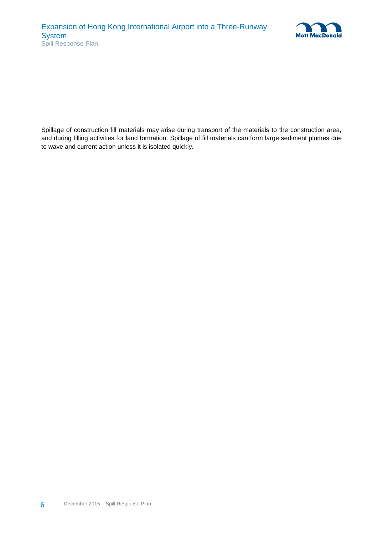

Spillage of construction fill materials may arise during transport of the materials to the construction area, and during filling activities for land formation. Spillage of fill materials can form large sediment plumes due to wave and current action unless it is isolated quickly.

6 December 2015 – Spill Response Plan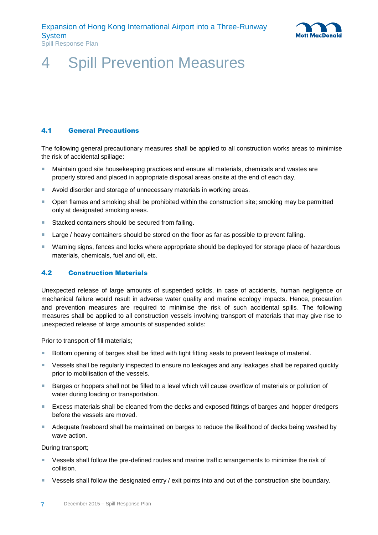

### <span id="page-13-0"></span>4 Spill Prevention Measures

#### <span id="page-13-1"></span>4.1 General Precautions

The following general precautionary measures shall be applied to all construction works areas to minimise the risk of accidental spillage:

- **Maintain good site housekeeping practices and ensure all materials, chemicals and wastes are** properly stored and placed in appropriate disposal areas onsite at the end of each day.
- Avoid disorder and storage of unnecessary materials in working areas.
- **Den flames and smoking shall be prohibited within the construction site; smoking may be permitted** only at designated smoking areas.
- Stacked containers should be secured from falling.
- **Large / heavy containers should be stored on the floor as far as possible to prevent falling.**
- **Warning signs, fences and locks where appropriate should be deployed for storage place of hazardous** materials, chemicals, fuel and oil, etc.

#### <span id="page-13-2"></span>4.2 Construction Materials

Unexpected release of large amounts of suspended solids, in case of accidents, human negligence or mechanical failure would result in adverse water quality and marine ecology impacts. Hence, precaution and prevention measures are required to minimise the risk of such accidental spills. The following measures shall be applied to all construction vessels involving transport of materials that may give rise to unexpected release of large amounts of suspended solids:

Prior to transport of fill materials;

- **Bottom opening of barges shall be fitted with tight fitting seals to prevent leakage of material.**
- Vessels shall be regularly inspected to ensure no leakages and any leakages shall be repaired quickly prior to mobilisation of the vessels.
- **Barges or hoppers shall not be filled to a level which will cause overflow of materials or pollution of** water during loading or transportation.
- Excess materials shall be cleaned from the decks and exposed fittings of barges and hopper dredgers before the vessels are moved.
- Adequate freeboard shall be maintained on barges to reduce the likelihood of decks being washed by wave action.

During transport;

- **EXECTS** Vessels shall follow the pre-defined routes and marine traffic arrangements to minimise the risk of collision.
- Vessels shall follow the designated entry / exit points into and out of the construction site boundary.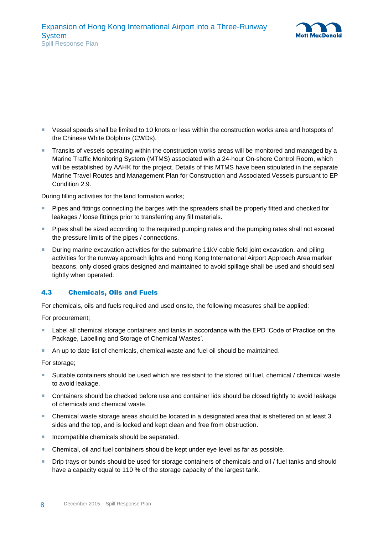

- Vessel speeds shall be limited to 10 knots or less within the construction works area and hotspots of the Chinese White Dolphins (CWDs).
- Transits of vessels operating within the construction works areas will be monitored and managed by a Marine Traffic Monitoring System (MTMS) associated with a 24-hour On-shore Control Room, which will be established by AAHK for the project. Details of this MTMS have been stipulated in the separate Marine Travel Routes and Management Plan for Construction and Associated Vessels pursuant to EP Condition 2.9.

During filling activities for the land formation works;

- Pipes and fittings connecting the barges with the spreaders shall be properly fitted and checked for leakages / loose fittings prior to transferring any fill materials.
- **Pipes shall be sized according to the required pumping rates and the pumping rates shall not exceed** the pressure limits of the pipes / connections.
- During marine excavation activities for the submarine 11kV cable field joint excavation, and piling activities for the runway approach lights and Hong Kong International Airport Approach Area marker beacons, only closed grabs designed and maintained to avoid spillage shall be used and should seal tightly when operated.

#### <span id="page-14-0"></span>4.3 Chemicals, Oils and Fuels

For chemicals, oils and fuels required and used onsite, the following measures shall be applied:

For procurement;

- Label all chemical storage containers and tanks in accordance with the EPD 'Code of Practice on the Package, Labelling and Storage of Chemical Wastes'.
- An up to date list of chemicals, chemical waste and fuel oil should be maintained.

For storage;

- Suitable containers should be used which are resistant to the stored oil fuel, chemical / chemical waste to avoid leakage.
- Containers should be checked before use and container lids should be closed tightly to avoid leakage of chemicals and chemical waste.
- Chemical waste storage areas should be located in a designated area that is sheltered on at least 3 sides and the top, and is locked and kept clean and free from obstruction.
- Incompatible chemicals should be separated.
- Chemical, oil and fuel containers should be kept under eye level as far as possible.
- **Drip trays or bunds should be used for storage containers of chemicals and oil / fuel tanks and should** have a capacity equal to 110 % of the storage capacity of the largest tank.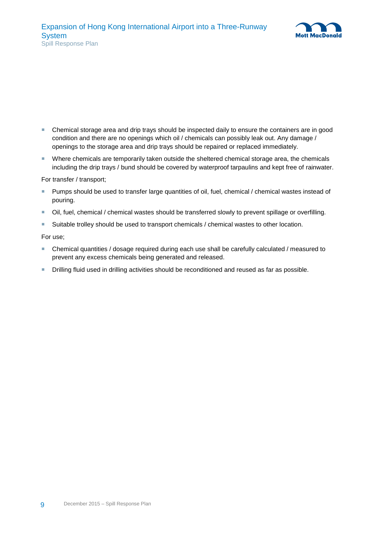

- Chemical storage area and drip trays should be inspected daily to ensure the containers are in good condition and there are no openings which oil / chemicals can possibly leak out. Any damage / openings to the storage area and drip trays should be repaired or replaced immediately.
- Where chemicals are temporarily taken outside the sheltered chemical storage area, the chemicals including the drip trays / bund should be covered by waterproof tarpaulins and kept free of rainwater.

For transfer / transport;

- **Pumps should be used to transfer large quantities of oil, fuel, chemical / chemical wastes instead of** pouring.
- Oil, fuel, chemical / chemical wastes should be transferred slowly to prevent spillage or overfilling.
- **Suitable trolley should be used to transport chemicals / chemical wastes to other location.**

For use;

- Chemical quantities / dosage required during each use shall be carefully calculated / measured to prevent any excess chemicals being generated and released.
- **Drilling fluid used in drilling activities should be reconditioned and reused as far as possible.**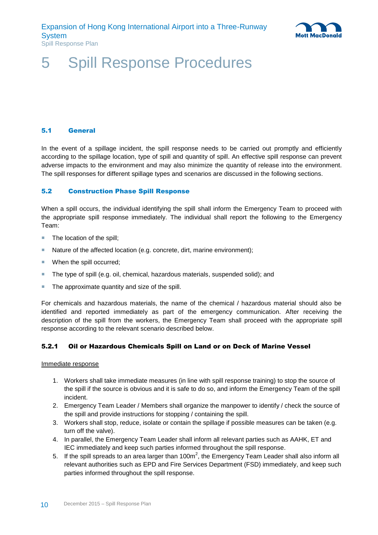

### <span id="page-16-0"></span>5 Spill Response Procedures

#### <span id="page-16-1"></span>5.1 General

In the event of a spillage incident, the spill response needs to be carried out promptly and efficiently according to the spillage location, type of spill and quantity of spill. An effective spill response can prevent adverse impacts to the environment and may also minimize the quantity of release into the environment. The spill responses for different spillage types and scenarios are discussed in the following sections.

#### <span id="page-16-2"></span>5.2 Construction Phase Spill Response

When a spill occurs, the individual identifying the spill shall inform the Emergency Team to proceed with the appropriate spill response immediately. The individual shall report the following to the Emergency Team:

- The location of the spill;
- Nature of the affected location (e.g. concrete, dirt, marine environment);
- When the spill occurred:
- The type of spill (e.g. oil, chemical, hazardous materials, suspended solid); and
- The approximate quantity and size of the spill.

For chemicals and hazardous materials, the name of the chemical / hazardous material should also be identified and reported immediately as part of the emergency communication. After receiving the description of the spill from the workers, the Emergency Team shall proceed with the appropriate spill response according to the relevant scenario described below.

#### <span id="page-16-3"></span>5.2.1 Oil or Hazardous Chemicals Spill on Land or on Deck of Marine Vessel

#### Immediate response

- 1. Workers shall take immediate measures (in line with spill response training) to stop the source of the spill if the source is obvious and it is safe to do so, and inform the Emergency Team of the spill incident.
- 2. Emergency Team Leader / Members shall organize the manpower to identify / check the source of the spill and provide instructions for stopping / containing the spill.
- 3. Workers shall stop, reduce, isolate or contain the spillage if possible measures can be taken (e.g. turn off the valve).
- 4. In parallel, the Emergency Team Leader shall inform all relevant parties such as AAHK, ET and IEC immediately and keep such parties informed throughout the spill response.
- 5. If the spill spreads to an area larger than 100m<sup>2</sup>, the Emergency Team Leader shall also inform all relevant authorities such as EPD and Fire Services Department (FSD) immediately, and keep such parties informed throughout the spill response.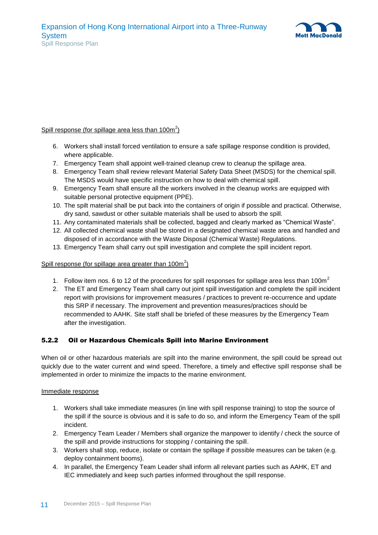

#### Spill response (for spillage area less than  $100m^2$ )

- 6. Workers shall install forced ventilation to ensure a safe spillage response condition is provided, where applicable.
- 7. Emergency Team shall appoint well-trained cleanup crew to cleanup the spillage area.
- 8. Emergency Team shall review relevant Material Safety Data Sheet (MSDS) for the chemical spill. The MSDS would have specific instruction on how to deal with chemical spill.
- 9. Emergency Team shall ensure all the workers involved in the cleanup works are equipped with suitable personal protective equipment (PPE).
- 10. The spilt material shall be put back into the containers of origin if possible and practical. Otherwise, dry sand, sawdust or other suitable materials shall be used to absorb the spill.
- 11. Any contaminated materials shall be collected, bagged and clearly marked as "Chemical Waste".
- 12. All collected chemical waste shall be stored in a designated chemical waste area and handled and disposed of in accordance with the Waste Disposal (Chemical Waste) Regulations.
- 13. Emergency Team shall carry out spill investigation and complete the spill incident report.

#### Spill response (for spillage area greater than  $100m^2$ )

- 1. Follow item nos. 6 to 12 of the procedures for spill responses for spillage area less than 100 $m<sup>2</sup>$
- 2. The ET and Emergency Team shall carry out joint spill investigation and complete the spill incident report with provisions for improvement measures / practices to prevent re-occurrence and update this SRP if necessary. The improvement and prevention measures/practices should be recommended to AAHK. Site staff shall be briefed of these measures by the Emergency Team after the investigation.

#### <span id="page-17-0"></span>5.2.2 Oil or Hazardous Chemicals Spill into Marine Environment

When oil or other hazardous materials are spilt into the marine environment, the spill could be spread out quickly due to the water current and wind speed. Therefore, a timely and effective spill response shall be implemented in order to minimize the impacts to the marine environment.

#### Immediate response

- 1. Workers shall take immediate measures (in line with spill response training) to stop the source of the spill if the source is obvious and it is safe to do so, and inform the Emergency Team of the spill incident.
- 2. Emergency Team Leader / Members shall organize the manpower to identify / check the source of the spill and provide instructions for stopping / containing the spill.
- 3. Workers shall stop, reduce, isolate or contain the spillage if possible measures can be taken (e.g. deploy containment booms).
- 4. In parallel, the Emergency Team Leader shall inform all relevant parties such as AAHK, ET and IEC immediately and keep such parties informed throughout the spill response.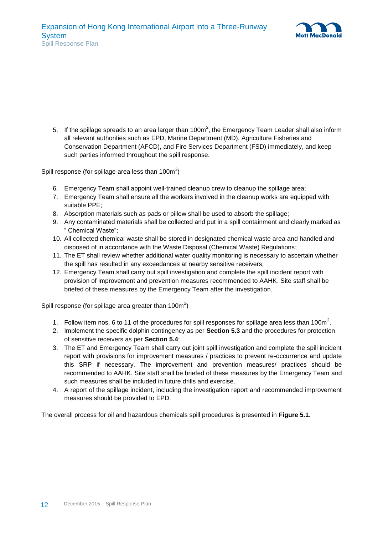

5. If the spillage spreads to an area larger than 100m<sup>2</sup>, the Emergency Team Leader shall also inform all relevant authorities such as EPD, Marine Department (MD), Agriculture Fisheries and Conservation Department (AFCD), and Fire Services Department (FSD) immediately, and keep such parties informed throughout the spill response.

#### Spill response (for spillage area less than  $100m^2$ )

- 6. Emergency Team shall appoint well-trained cleanup crew to cleanup the spillage area;
- 7. Emergency Team shall ensure all the workers involved in the cleanup works are equipped with suitable PPE;
- 8. Absorption materials such as pads or pillow shall be used to absorb the spillage;
- 9. Any contaminated materials shall be collected and put in a spill containment and clearly marked as " Chemical Waste";
- 10. All collected chemical waste shall be stored in designated chemical waste area and handled and disposed of in accordance with the Waste Disposal (Chemical Waste) Regulations;
- 11. The ET shall review whether additional water quality monitoring is necessary to ascertain whether the spill has resulted in any exceedances at nearby sensitive receivers;
- 12. Emergency Team shall carry out spill investigation and complete the spill incident report with provision of improvement and prevention measures recommended to AAHK. Site staff shall be briefed of these measures by the Emergency Team after the investigation.

#### Spill response (for spillage area greater than  $100m^2$ )

- 1. Follow item nos. 6 to 11 of the procedures for spill responses for spillage area less than 100m<sup>2</sup>.
- 2. Implement the specific dolphin contingency as per **Section [5.3](#page-20-1)** and the procedures for protection of sensitive receivers as per **Section [5.4](#page-21-0)**;
- 3. The ET and Emergency Team shall carry out joint spill investigation and complete the spill incident report with provisions for improvement measures / practices to prevent re-occurrence and update this SRP if necessary. The improvement and prevention measures/ practices should be recommended to AAHK. Site staff shall be briefed of these measures by the Emergency Team and such measures shall be included in future drills and exercise.
- 4. A report of the spillage incident, including the investigation report and recommended improvement measures should be provided to EPD.

The overall process for oil and hazardous chemicals spill procedures is presented in **[Figure 5.1](#page-19-0)**.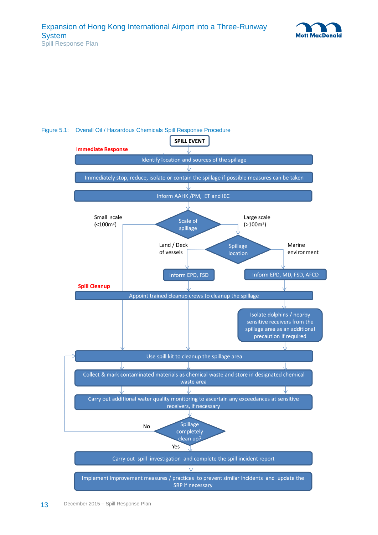



#### <span id="page-19-0"></span>Figure 5.1: Overall Oil / Hazardous Chemicals Spill Response Procedure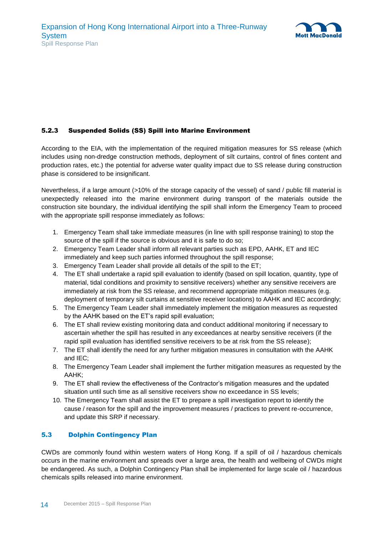

#### <span id="page-20-0"></span>5.2.3 Suspended Solids (SS) Spill into Marine Environment

According to the EIA, with the implementation of the required mitigation measures for SS release (which includes using non-dredge construction methods, deployment of silt curtains, control of fines content and production rates, etc.) the potential for adverse water quality impact due to SS release during construction phase is considered to be insignificant.

Nevertheless, if a large amount (>10% of the storage capacity of the vessel) of sand / public fill material is unexpectedly released into the marine environment during transport of the materials outside the construction site boundary, the individual identifying the spill shall inform the Emergency Team to proceed with the appropriate spill response immediately as follows:

- 1. Emergency Team shall take immediate measures (in line with spill response training) to stop the source of the spill if the source is obvious and it is safe to do so:
- 2. Emergency Team Leader shall inform all relevant parties such as EPD, AAHK, ET and IEC immediately and keep such parties informed throughout the spill response;
- 3. Emergency Team Leader shall provide all details of the spill to the ET;
- 4. The ET shall undertake a rapid spill evaluation to identify (based on spill location, quantity, type of material, tidal conditions and proximity to sensitive receivers) whether any sensitive receivers are immediately at risk from the SS release, and recommend appropriate mitigation measures (e.g. deployment of temporary silt curtains at sensitive receiver locations) to AAHK and IEC accordingly;
- 5. The Emergency Team Leader shall immediately implement the mitigation measures as requested by the AAHK based on the ET's rapid spill evaluation;
- 6. The ET shall review existing monitoring data and conduct additional monitoring if necessary to ascertain whether the spill has resulted in any exceedances at nearby sensitive receivers (if the rapid spill evaluation has identified sensitive receivers to be at risk from the SS release);
- 7. The ET shall identify the need for any further mitigation measures in consultation with the AAHK and IEC;
- 8. The Emergency Team Leader shall implement the further mitigation measures as requested by the AAHK;
- 9. The ET shall review the effectiveness of the Contractor's mitigation measures and the updated situation until such time as all sensitive receivers show no exceedance in SS levels;
- 10. The Emergency Team shall assist the ET to prepare a spill investigation report to identify the cause / reason for the spill and the improvement measures / practices to prevent re-occurrence, and update this SRP if necessary.

#### <span id="page-20-1"></span>5.3 Dolphin Contingency Plan

CWDs are commonly found within western waters of Hong Kong. If a spill of oil / hazardous chemicals occurs in the marine environment and spreads over a large area, the health and wellbeing of CWDs might be endangered. As such, a Dolphin Contingency Plan shall be implemented for large scale oil / hazardous chemicals spills released into marine environment.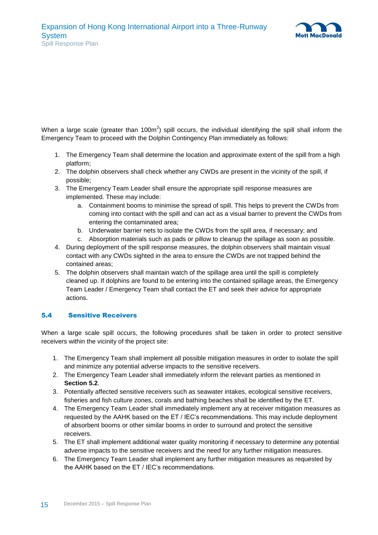

When a large scale (greater than 100m<sup>2</sup>) spill occurs, the individual identifying the spill shall inform the Emergency Team to proceed with the Dolphin Contingency Plan immediately as follows:

- 1. The Emergency Team shall determine the location and approximate extent of the spill from a high platform;
- 2. The dolphin observers shall check whether any CWDs are present in the vicinity of the spill, if possible;
- 3. The Emergency Team Leader shall ensure the appropriate spill response measures are implemented. These may include:
	- a. Containment booms to minimise the spread of spill. This helps to prevent the CWDs from coming into contact with the spill and can act as a visual barrier to prevent the CWDs from entering the contaminated area;
	- b. Underwater barrier nets to isolate the CWDs from the spill area, if necessary; and
	- c. Absorption materials such as pads or pillow to cleanup the spillage as soon as possible.
- 4. During deployment of the spill response measures, the dolphin observers shall maintain visual contact with any CWDs sighted in the area to ensure the CWDs are not trapped behind the contained areas;
- 5. The dolphin observers shall maintain watch of the spillage area until the spill is completely cleaned up. If dolphins are found to be entering into the contained spillage areas, the Emergency Team Leader / Emergency Team shall contact the ET and seek their advice for appropriate actions.

#### <span id="page-21-0"></span>5.4 Sensitive Receivers

When a large scale spill occurs, the following procedures shall be taken in order to protect sensitive receivers within the vicinity of the project site:

- 1. The Emergency Team shall implement all possible mitigation measures in order to isolate the spill and minimize any potential adverse impacts to the sensitive receivers.
- 2. The Emergency Team Leader shall immediately inform the relevant parties as mentioned in **Section [5.2](#page-16-2)**.
- 3. Potentially affected sensitive receivers such as seawater intakes, ecological sensitive receivers, fisheries and fish culture zones, corals and bathing beaches shall be identified by the ET.
- 4. The Emergency Team Leader shall immediately implement any at receiver mitigation measures as requested by the AAHK based on the ET / IEC's recommendations. This may include deployment of absorbent booms or other similar booms in order to surround and protect the sensitive receivers.
- 5. The ET shall implement additional water quality monitoring if necessary to determine any potential adverse impacts to the sensitive receivers and the need for any further mitigation measures.
- 6. The Emergency Team Leader shall implement any further mitigation measures as requested by the AAHK based on the ET / IEC's recommendations.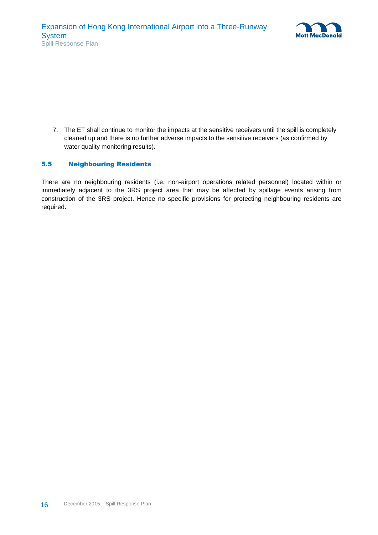

7. The ET shall continue to monitor the impacts at the sensitive receivers until the spill is completely cleaned up and there is no further adverse impacts to the sensitive receivers (as confirmed by water quality monitoring results).

#### <span id="page-22-0"></span>5.5 Neighbouring Residents

There are no neighbouring residents (i.e. non-airport operations related personnel) located within or immediately adjacent to the 3RS project area that may be affected by spillage events arising from construction of the 3RS project. Hence no specific provisions for protecting neighbouring residents are required.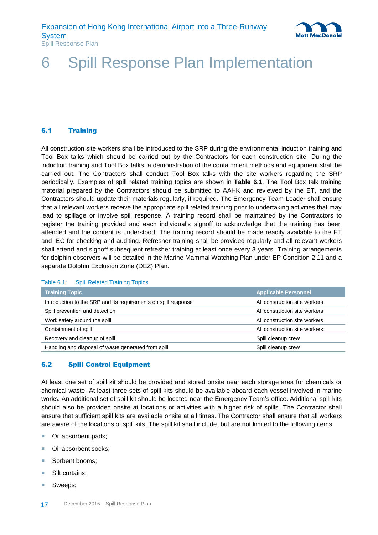

### <span id="page-23-0"></span>6 Spill Response Plan Implementation

#### <span id="page-23-1"></span>6.1 Training

All construction site workers shall be introduced to the SRP during the environmental induction training and Tool Box talks which should be carried out by the Contractors for each construction site. During the induction training and Tool Box talks, a demonstration of the containment methods and equipment shall be carried out. The Contractors shall conduct Tool Box talks with the site workers regarding the SRP periodically. Examples of spill related training topics are shown in **[Table 6.1](#page-23-3)**. The Tool Box talk training material prepared by the Contractors should be submitted to AAHK and reviewed by the ET, and the Contractors should update their materials regularly, if required. The Emergency Team Leader shall ensure that all relevant workers receive the appropriate spill related training prior to undertaking activities that may lead to spillage or involve spill response. A training record shall be maintained by the Contractors to register the training provided and each individual's signoff to acknowledge that the training has been attended and the content is understood. The training record should be made readily available to the ET and IEC for checking and auditing. Refresher training shall be provided regularly and all relevant workers shall attend and signoff subsequent refresher training at least once every 3 years. Training arrangements for dolphin observers will be detailed in the Marine Mammal Watching Plan under EP Condition 2.11 and a separate Dolphin Exclusion Zone (DEZ) Plan.

#### <span id="page-23-3"></span>Table 6.1: Spill Related Training Topics

| <b>Training Topic</b>                                          | <b>Applicable Personnel</b>   |
|----------------------------------------------------------------|-------------------------------|
| Introduction to the SRP and its requirements on spill response | All construction site workers |
| Spill prevention and detection                                 | All construction site workers |
| Work safety around the spill                                   | All construction site workers |
| Containment of spill                                           | All construction site workers |
| Recovery and cleanup of spill                                  | Spill cleanup crew            |
| Handling and disposal of waste generated from spill            | Spill cleanup crew            |

#### <span id="page-23-2"></span>6.2 Spill Control Equipment

At least one set of spill kit should be provided and stored onsite near each storage area for chemicals or chemical waste. At least three sets of spill kits should be available aboard each vessel involved in marine works. An additional set of spill kit should be located near the Emergency Team's office. Additional spill kits should also be provided onsite at locations or activities with a higher risk of spills. The Contractor shall ensure that sufficient spill kits are available onsite at all times. The Contractor shall ensure that all workers are aware of the locations of spill kits. The spill kit shall include, but are not limited to the following items:

- Oil absorbent pads;
- Oil absorbent socks;
- Sorbent booms;
- Silt curtains;
- Sweeps;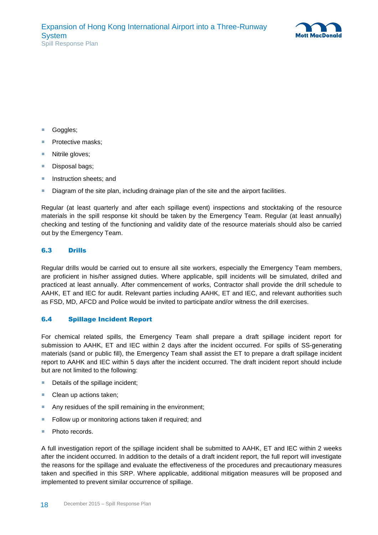

- Goggles:
- Protective masks;
- Nitrile gloves;
- Disposal bags;
- **Instruction sheets; and**
- Diagram of the site plan, including drainage plan of the site and the airport facilities.

Regular (at least quarterly and after each spillage event) inspections and stocktaking of the resource materials in the spill response kit should be taken by the Emergency Team. Regular (at least annually) checking and testing of the functioning and validity date of the resource materials should also be carried out by the Emergency Team.

#### <span id="page-24-0"></span>6.3 Drills

Regular drills would be carried out to ensure all site workers, especially the Emergency Team members, are proficient in his/her assigned duties. Where applicable, spill incidents will be simulated, drilled and practiced at least annually. After commencement of works, Contractor shall provide the drill schedule to AAHK, ET and IEC for audit. Relevant parties including AAHK, ET and IEC, and relevant authorities such as FSD, MD, AFCD and Police would be invited to participate and/or witness the drill exercises.

#### <span id="page-24-1"></span>6.4 Spillage Incident Report

For chemical related spills, the Emergency Team shall prepare a draft spillage incident report for submission to AAHK, ET and IEC within 2 days after the incident occurred. For spills of SS-generating materials (sand or public fill), the Emergency Team shall assist the ET to prepare a draft spillage incident report to AAHK and IEC within 5 days after the incident occurred. The draft incident report should include but are not limited to the following:

- Details of the spillage incident;
- Clean up actions taken;
- Any residues of the spill remaining in the environment:
- Follow up or monitoring actions taken if required; and
- **Photo records.**

A full investigation report of the spillage incident shall be submitted to AAHK, ET and IEC within 2 weeks after the incident occurred. In addition to the details of a draft incident report, the full report will investigate the reasons for the spillage and evaluate the effectiveness of the procedures and precautionary measures taken and specified in this SRP. Where applicable, additional mitigation measures will be proposed and implemented to prevent similar occurrence of spillage.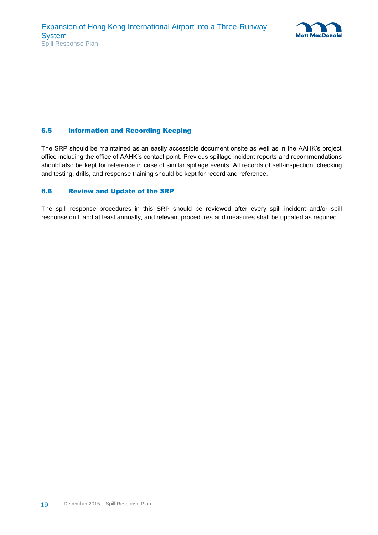

#### <span id="page-25-0"></span>6.5 Information and Recording Keeping

The SRP should be maintained as an easily accessible document onsite as well as in the AAHK's project office including the office of AAHK's contact point. Previous spillage incident reports and recommendations should also be kept for reference in case of similar spillage events. All records of self-inspection, checking and testing, drills, and response training should be kept for record and reference.

#### <span id="page-25-1"></span>6.6 Review and Update of the SRP

The spill response procedures in this SRP should be reviewed after every spill incident and/or spill response drill, and at least annually, and relevant procedures and measures shall be updated as required.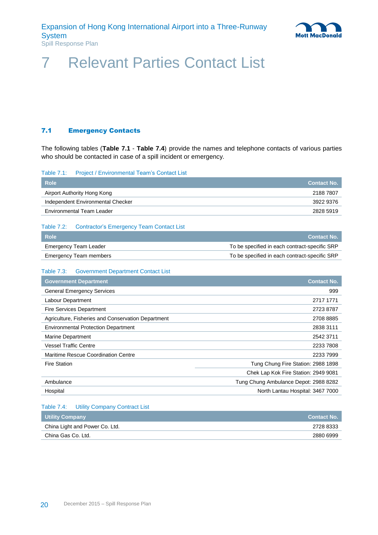

### <span id="page-26-0"></span>7 Relevant Parties Contact List

#### <span id="page-26-1"></span>7.1 Emergency Contacts

The following tables (**[Table 7.1](#page-26-2)** - **[Table 7.4](#page-26-5)**) provide the names and telephone contacts of various parties who should be contacted in case of a spill incident or emergency.

<span id="page-26-2"></span>

| Table 7.1: |  | <b>Project / Environmental Team's Contact List</b> |  |  |  |
|------------|--|----------------------------------------------------|--|--|--|
|------------|--|----------------------------------------------------|--|--|--|

| <b>Role</b>                       | <b>Contact No.</b> |
|-----------------------------------|--------------------|
| Airport Authority Hong Kong       | 2188 7807          |
| Independent Environmental Checker | 3922 9376          |
| Environmental Team Leader         | 2828 5919          |

#### <span id="page-26-3"></span>Table 7.2: Contractor's Emergency Team Contact List

| <b>Role</b>            | <b>Contact No.</b>                            |
|------------------------|-----------------------------------------------|
| Emergency Team Leader  | To be specified in each contract-specific SRP |
| Emergency Team members | To be specified in each contract-specific SRP |

#### <span id="page-26-4"></span>Table 7.3: Government Department Contact List

| <b>Government Department</b>                       | <b>Contact No.</b>                    |
|----------------------------------------------------|---------------------------------------|
| <b>General Emergency Services</b>                  | 999                                   |
| Labour Department                                  | 2717 1771                             |
| <b>Fire Services Department</b>                    | 2723 8787                             |
| Agriculture, Fisheries and Conservation Department | 2708 8885                             |
| <b>Environmental Protection Department</b>         | 2838 3111                             |
| Marine Department                                  | 2542 3711                             |
| <b>Vessel Traffic Centre</b>                       | 2233 7808                             |
| Maritime Rescue Coordination Centre                | 2233 7999                             |
| <b>Fire Station</b>                                | Tung Chung Fire Station: 2988 1898    |
|                                                    | Chek Lap Kok Fire Station: 2949 9081  |
| Ambulance                                          | Tung Chung Ambulance Depot: 2988 8282 |
| Hospital                                           | North Lantau Hospital: 3467 7000      |

#### <span id="page-26-5"></span>Table 7.4: Utility Company Contract List

| <b>Utility Company</b>         | <b>Contact No.</b> |
|--------------------------------|--------------------|
| China Light and Power Co. Ltd. | 2728 8333          |
| China Gas Co. Ltd.             | 2880 6999          |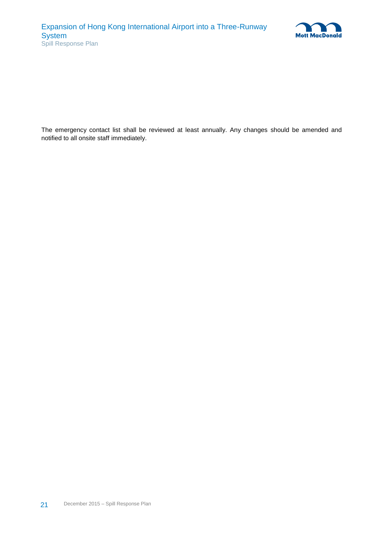

The emergency contact list shall be reviewed at least annually. Any changes should be amended and notified to all onsite staff immediately.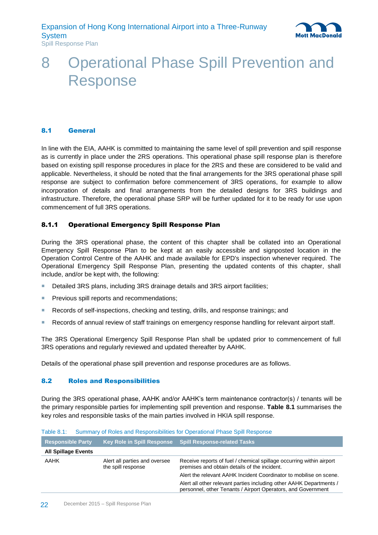

### <span id="page-28-0"></span>8 Operational Phase Spill Prevention and Response

### <span id="page-28-1"></span>8.1 General

In line with the EIA, AAHK is committed to maintaining the same level of spill prevention and spill response as is currently in place under the 2RS operations. This operational phase spill response plan is therefore based on existing spill response procedures in place for the 2RS and these are considered to be valid and applicable. Nevertheless, it should be noted that the final arrangements for the 3RS operational phase spill response are subject to confirmation before commencement of 3RS operations, for example to allow incorporation of details and final arrangements from the detailed designs for 3RS buildings and infrastructure. Therefore, the operational phase SRP will be further updated for it to be ready for use upon commencement of full 3RS operations.

#### <span id="page-28-2"></span>8.1.1 Operational Emergency Spill Response Plan

During the 3RS operational phase, the content of this chapter shall be collated into an Operational Emergency Spill Response Plan to be kept at an easily accessible and signposted location in the Operation Control Centre of the AAHK and made available for EPD's inspection whenever required. The Operational Emergency Spill Response Plan, presenting the updated contents of this chapter, shall include, and/or be kept with, the following:

- Detailed 3RS plans, including 3RS drainage details and 3RS airport facilities;
- **Previous spill reports and recommendations;**
- Records of self-inspections, checking and testing, drills, and response trainings; and
- Records of annual review of staff trainings on emergency response handling for relevant airport staff.

The 3RS Operational Emergency Spill Response Plan shall be updated prior to commencement of full 3RS operations and regularly reviewed and updated thereafter by AAHK.

<span id="page-28-3"></span>Details of the operational phase spill prevention and response procedures are as follows.

#### 8.2 Roles and Responsibilities

During the 3RS operational phase, AAHK and/or AAHK's term maintenance contractor(s) / tenants will be the primary responsible parties for implementing spill prevention and response. **[Table 8.1](#page-28-4)** summarises the key roles and responsible tasks of the main parties involved in HKIA spill response.

<span id="page-28-4"></span>

|  |  |  |  |  | Table 8.1: Summary of Roles and Responsibilities for Operational Phase Spill Response |
|--|--|--|--|--|---------------------------------------------------------------------------------------|
|--|--|--|--|--|---------------------------------------------------------------------------------------|

| <b>Responsible Party</b>                                    |  | Key Role in Spill Response Spill Response-related Tasks                                                                             |
|-------------------------------------------------------------|--|-------------------------------------------------------------------------------------------------------------------------------------|
| <b>All Spillage Events</b>                                  |  |                                                                                                                                     |
| AAHK<br>Alert all parties and oversee<br>the spill response |  | Receive reports of fuel / chemical spillage occurring within airport<br>premises and obtain details of the incident.                |
|                                                             |  | Alert the relevant AAHK Incident Coordinator to mobilise on scene.                                                                  |
|                                                             |  | Alert all other relevant parties including other AAHK Departments /<br>personnel, other Tenants / Airport Operators, and Government |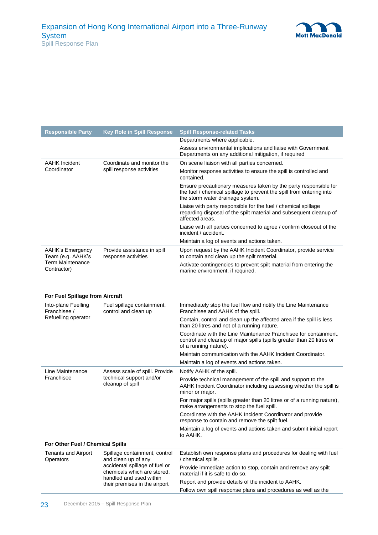

| <b>Responsible Party</b>                                   | <b>Key Role in Spill Response</b>                             | <b>Spill Response-related Tasks</b>                                                                                                                                          |  |  |  |
|------------------------------------------------------------|---------------------------------------------------------------|------------------------------------------------------------------------------------------------------------------------------------------------------------------------------|--|--|--|
|                                                            |                                                               | Departments where applicable.                                                                                                                                                |  |  |  |
|                                                            |                                                               | Assess environmental implications and liaise with Government<br>Departments on any additional mitigation, if required                                                        |  |  |  |
| <b>AAHK Incident</b>                                       | Coordinate and monitor the                                    | On scene liaison with all parties concerned.                                                                                                                                 |  |  |  |
| Coordinator                                                | spill response activities                                     | Monitor response activities to ensure the spill is controlled and<br>contained.                                                                                              |  |  |  |
|                                                            |                                                               | Ensure precautionary measures taken by the party responsible for<br>the fuel / chemical spillage to prevent the spill from entering into<br>the storm water drainage system. |  |  |  |
|                                                            |                                                               | Liaise with party responsible for the fuel / chemical spillage<br>regarding disposal of the spilt material and subsequent cleanup of<br>affected areas.                      |  |  |  |
|                                                            |                                                               | Liaise with all parties concerned to agree / confirm closeout of the<br>incident / accident.                                                                                 |  |  |  |
|                                                            |                                                               | Maintain a log of events and actions taken.                                                                                                                                  |  |  |  |
| <b>AAHK's Emergency</b><br>Team (e.g. AAHK's               | Provide assistance in spill<br>response activities            | Upon request by the AAHK Incident Coordinator, provide service<br>to contain and clean up the spilt material.                                                                |  |  |  |
| <b>Term Maintenance</b><br>Contractor)                     |                                                               | Activate contingencies to prevent spilt material from entering the<br>marine environment, if required.                                                                       |  |  |  |
|                                                            |                                                               |                                                                                                                                                                              |  |  |  |
|                                                            |                                                               |                                                                                                                                                                              |  |  |  |
| For Fuel Spillage from Aircraft                            |                                                               |                                                                                                                                                                              |  |  |  |
| Into-plane Fuelling<br>Franchisee /<br>Refuelling operator | Fuel spillage containment,<br>control and clean up            | Immediately stop the fuel flow and notify the Line Maintenance<br>Franchisee and AAHK of the spill.                                                                          |  |  |  |
|                                                            |                                                               | Contain, control and clean up the affected area if the spill is less<br>than 20 litres and not of a running nature.                                                          |  |  |  |
|                                                            |                                                               | Coordinate with the Line Maintenance Franchisee for containment,<br>control and cleanup of major spills (spills greater than 20 litres or<br>of a running nature).           |  |  |  |
|                                                            |                                                               | Maintain communication with the AAHK Incident Coordinator.                                                                                                                   |  |  |  |
|                                                            |                                                               | Maintain a log of events and actions taken.                                                                                                                                  |  |  |  |
| Line Maintenance                                           | Assess scale of spill. Provide                                | Notify AAHK of the spill.                                                                                                                                                    |  |  |  |
| Franchisee                                                 | technical support and/or<br>cleanup of spill                  | Provide technical management of the spill and support to the<br>AAHK Incident Coordinator including assessing whether the spill is<br>minor or major.                        |  |  |  |
|                                                            |                                                               | For major spills (spills greater than 20 litres or of a running nature),<br>make arrangements to stop the fuel spill.                                                        |  |  |  |
|                                                            |                                                               | Coordinate with the AAHK Incident Coordinator and provide<br>response to contain and remove the spilt fuel.                                                                  |  |  |  |
|                                                            |                                                               | Maintain a log of events and actions taken and submit initial report<br>to AAHK.                                                                                             |  |  |  |
| For Other Fuel / Chemical Spills                           |                                                               |                                                                                                                                                                              |  |  |  |
| <b>Tenants and Airport</b><br>Operators                    | Spillage containment, control<br>and clean up of any          | Establish own response plans and procedures for dealing with fuel<br>/ chemical spills.                                                                                      |  |  |  |
|                                                            | accidental spillage of fuel or<br>chemicals which are stored, | Provide immediate action to stop, contain and remove any spilt<br>material if it is safe to do so.                                                                           |  |  |  |
|                                                            | handled and used within<br>their premises in the airport      | Report and provide details of the incident to AAHK.                                                                                                                          |  |  |  |
|                                                            |                                                               | Follow own spill response plans and procedures as well as the                                                                                                                |  |  |  |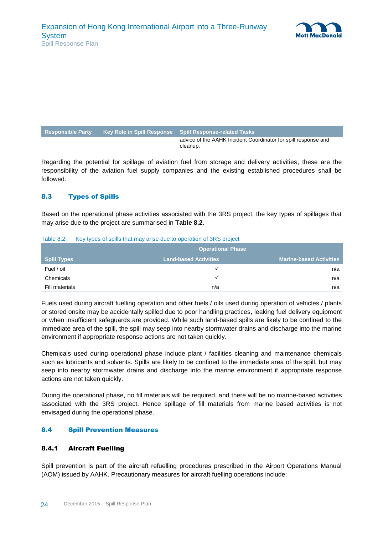

| <b>Responsible Party</b> | Key Role in Spill Response Spill Response-related Tasks                    |
|--------------------------|----------------------------------------------------------------------------|
|                          | advice of the AAHK Incident Coordinator for spill response and<br>cleanup. |

Regarding the potential for spillage of aviation fuel from storage and delivery activities, these are the responsibility of the aviation fuel supply companies and the existing established procedures shall be followed.

#### <span id="page-30-0"></span>8.3 Types of Spills

Based on the operational phase activities associated with the 3RS project, the key types of spillages that may arise due to the project are summarised in **[Table 8.2](#page-30-3)**.

|                            | . |                              | <b>Operational Phase</b> |                                |
|----------------------------|---|------------------------------|--------------------------|--------------------------------|
| ∣ Spill Types <sup>।</sup> |   | <b>Land-based Activities</b> |                          | <b>Marine-based Activities</b> |
| Fuel / oil                 |   |                              |                          | n/a                            |
| Chemicals                  |   |                              |                          | n/a                            |
| Fill materials             |   |                              | n/a                      | n/a                            |

<span id="page-30-3"></span>Table 8.2: Key types of spills that may arise due to operation of 3RS project

Fuels used during aircraft fuelling operation and other fuels / oils used during operation of vehicles / plants or stored onsite may be accidentally spilled due to poor handling practices, leaking fuel delivery equipment or when insufficient safeguards are provided. While such land-based spills are likely to be confined to the immediate area of the spill, the spill may seep into nearby stormwater drains and discharge into the marine environment if appropriate response actions are not taken quickly.

Chemicals used during operational phase include plant / facilities cleaning and maintenance chemicals such as lubricants and solvents. Spills are likely to be confined to the immediate area of the spill, but may seep into nearby stormwater drains and discharge into the marine environment if appropriate response actions are not taken quickly.

During the operational phase, no fill materials will be required, and there will be no marine-based activities associated with the 3RS project. Hence spillage of fill materials from marine based activities is not envisaged during the operational phase.

#### <span id="page-30-1"></span>8.4 Spill Prevention Measures

#### <span id="page-30-2"></span>8.4.1 Aircraft Fuelling

Spill prevention is part of the aircraft refuelling procedures prescribed in the Airport Operations Manual (AOM) issued by AAHK. Precautionary measures for aircraft fuelling operations include: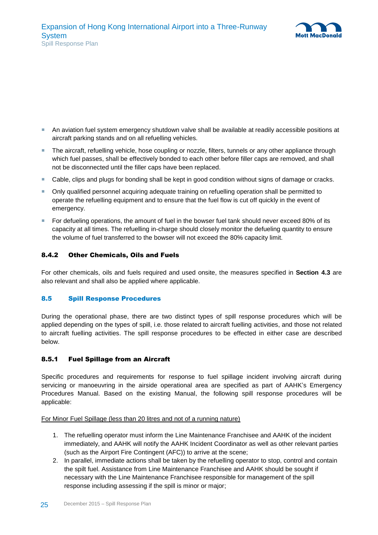

- An aviation fuel system emergency shutdown valve shall be available at readily accessible positions at aircraft parking stands and on all refuelling vehicles.
- The aircraft, refuelling vehicle, hose coupling or nozzle, filters, tunnels or any other appliance through which fuel passes, shall be effectively bonded to each other before filler caps are removed, and shall not be disconnected until the filler caps have been replaced.
- Cable, clips and plugs for bonding shall be kept in good condition without signs of damage or cracks.
- Only qualified personnel acquiring adequate training on refuelling operation shall be permitted to operate the refuelling equipment and to ensure that the fuel flow is cut off quickly in the event of emergency.
- For defueling operations, the amount of fuel in the bowser fuel tank should never exceed 80% of its capacity at all times. The refuelling in-charge should closely monitor the defueling quantity to ensure the volume of fuel transferred to the bowser will not exceed the 80% capacity limit.

#### <span id="page-31-0"></span>8.4.2 Other Chemicals, Oils and Fuels

For other chemicals, oils and fuels required and used onsite, the measures specified in **Section 4.3** are also relevant and shall also be applied where applicable.

#### <span id="page-31-1"></span>8.5 Spill Response Procedures

During the operational phase, there are two distinct types of spill response procedures which will be applied depending on the types of spill, i.e. those related to aircraft fuelling activities, and those not related to aircraft fuelling activities. The spill response procedures to be effected in either case are described below.

#### <span id="page-31-2"></span>8.5.1 Fuel Spillage from an Aircraft

Specific procedures and requirements for response to fuel spillage incident involving aircraft during servicing or manoeuvring in the airside operational area are specified as part of AAHK's Emergency Procedures Manual. Based on the existing Manual, the following spill response procedures will be applicable:

For Minor Fuel Spillage (less than 20 litres and not of a running nature)

- 1. The refuelling operator must inform the Line Maintenance Franchisee and AAHK of the incident immediately, and AAHK will notify the AAHK Incident Coordinator as well as other relevant parties (such as the Airport Fire Contingent (AFC)) to arrive at the scene;
- 2. In parallel, immediate actions shall be taken by the refuelling operator to stop, control and contain the spilt fuel. Assistance from Line Maintenance Franchisee and AAHK should be sought if necessary with the Line Maintenance Franchisee responsible for management of the spill response including assessing if the spill is minor or major;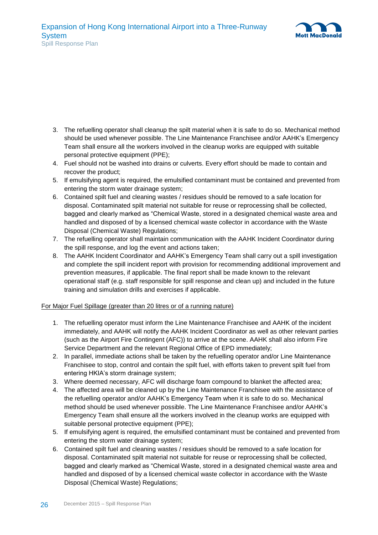

- 3. The refuelling operator shall cleanup the spilt material when it is safe to do so. Mechanical method should be used whenever possible. The Line Maintenance Franchisee and/or AAHK's Emergency Team shall ensure all the workers involved in the cleanup works are equipped with suitable personal protective equipment (PPE);
- 4. Fuel should not be washed into drains or culverts. Every effort should be made to contain and recover the product;
- 5. If emulsifying agent is required, the emulsified contaminant must be contained and prevented from entering the storm water drainage system;
- 6. Contained spilt fuel and cleaning wastes / residues should be removed to a safe location for disposal. Contaminated spilt material not suitable for reuse or reprocessing shall be collected, bagged and clearly marked as "Chemical Waste, stored in a designated chemical waste area and handled and disposed of by a licensed chemical waste collector in accordance with the Waste Disposal (Chemical Waste) Regulations;
- 7. The refuelling operator shall maintain communication with the AAHK Incident Coordinator during the spill response, and log the event and actions taken;
- 8. The AAHK Incident Coordinator and AAHK's Emergency Team shall carry out a spill investigation and complete the spill incident report with provision for recommending additional improvement and prevention measures, if applicable. The final report shall be made known to the relevant operational staff (e.g. staff responsible for spill response and clean up) and included in the future training and simulation drills and exercises if applicable.

#### For Major Fuel Spillage (greater than 20 litres or of a running nature)

- 1. The refuelling operator must inform the Line Maintenance Franchisee and AAHK of the incident immediately, and AAHK will notify the AAHK Incident Coordinator as well as other relevant parties (such as the Airport Fire Contingent (AFC)) to arrive at the scene. AAHK shall also inform Fire Service Department and the relevant Regional Office of EPD immediately;
- 2. In parallel, immediate actions shall be taken by the refuelling operator and/or Line Maintenance Franchisee to stop, control and contain the spilt fuel, with efforts taken to prevent spilt fuel from entering HKIA's storm drainage system;
- 3. Where deemed necessary, AFC will discharge foam compound to blanket the affected area;
- 4. The affected area will be cleaned up by the Line Maintenance Franchisee with the assistance of the refuelling operator and/or AAHK's Emergency Team when it is safe to do so. Mechanical method should be used whenever possible. The Line Maintenance Franchisee and/or AAHK's Emergency Team shall ensure all the workers involved in the cleanup works are equipped with suitable personal protective equipment (PPE);
- 5. If emulsifying agent is required, the emulsified contaminant must be contained and prevented from entering the storm water drainage system;
- 6. Contained spilt fuel and cleaning wastes / residues should be removed to a safe location for disposal. Contaminated spilt material not suitable for reuse or reprocessing shall be collected, bagged and clearly marked as "Chemical Waste, stored in a designated chemical waste area and handled and disposed of by a licensed chemical waste collector in accordance with the Waste Disposal (Chemical Waste) Regulations;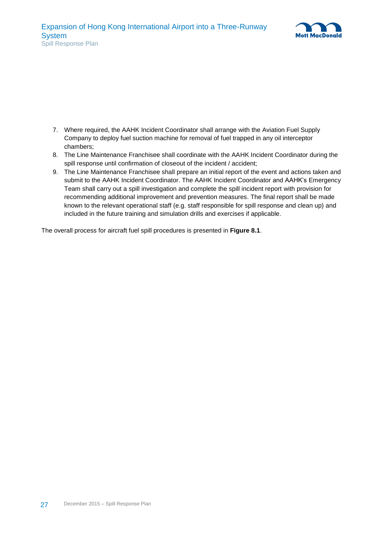

- 7. Where required, the AAHK Incident Coordinator shall arrange with the Aviation Fuel Supply Company to deploy fuel suction machine for removal of fuel trapped in any oil interceptor chambers;
- 8. The Line Maintenance Franchisee shall coordinate with the AAHK Incident Coordinator during the spill response until confirmation of closeout of the incident / accident;
- 9. The Line Maintenance Franchisee shall prepare an initial report of the event and actions taken and submit to the AAHK Incident Coordinator. The AAHK Incident Coordinator and AAHK's Emergency Team shall carry out a spill investigation and complete the spill incident report with provision for recommending additional improvement and prevention measures. The final report shall be made known to the relevant operational staff (e.g. staff responsible for spill response and clean up) and included in the future training and simulation drills and exercises if applicable.

The overall process for aircraft fuel spill procedures is presented in **[Figure 8.1](#page-34-0)**.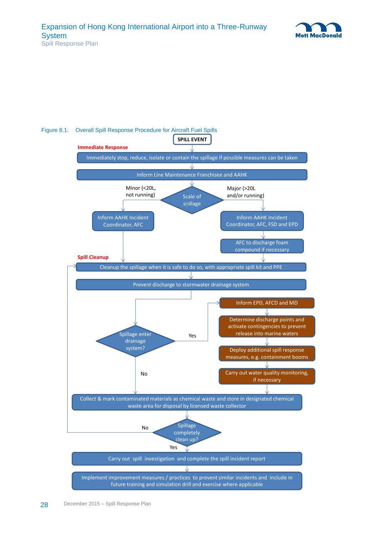



#### <span id="page-34-0"></span>Figure 8.1: Overall Spill Response Procedure for Aircraft Fuel Spills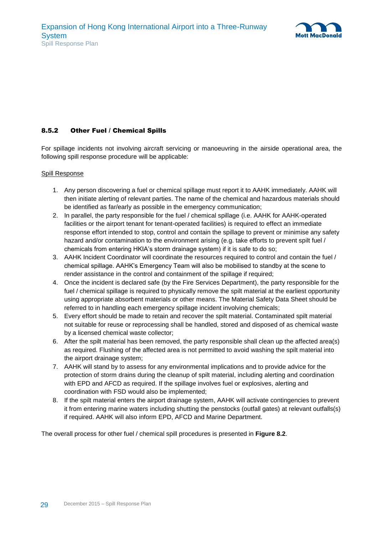

#### <span id="page-35-0"></span>8.5.2 Other Fuel / Chemical Spills

For spillage incidents not involving aircraft servicing or manoeuvring in the airside operational area, the following spill response procedure will be applicable:

#### Spill Response

- 1. Any person discovering a fuel or chemical spillage must report it to AAHK immediately. AAHK will then initiate alerting of relevant parties. The name of the chemical and hazardous materials should be identified as far/early as possible in the emergency communication;
- 2. In parallel, the party responsible for the fuel / chemical spillage (i.e. AAHK for AAHK-operated facilities or the airport tenant for tenant-operated facilities) is required to effect an immediate response effort intended to stop, control and contain the spillage to prevent or minimise any safety hazard and/or contamination to the environment arising (e.g. take efforts to prevent spilt fuel / chemicals from entering HKIA's storm drainage system) if it is safe to do so;
- 3. AAHK Incident Coordinator will coordinate the resources required to control and contain the fuel / chemical spillage. AAHK's Emergency Team will also be mobilised to standby at the scene to render assistance in the control and containment of the spillage if required;
- 4. Once the incident is declared safe (by the Fire Services Department), the party responsible for the fuel / chemical spillage is required to physically remove the spilt material at the earliest opportunity using appropriate absorbent materials or other means. The Material Safety Data Sheet should be referred to in handling each emergency spillage incident involving chemicals;
- 5. Every effort should be made to retain and recover the spilt material. Contaminated spilt material not suitable for reuse or reprocessing shall be handled, stored and disposed of as chemical waste by a licensed chemical waste collector;
- 6. After the spilt material has been removed, the party responsible shall clean up the affected area(s) as required. Flushing of the affected area is not permitted to avoid washing the spilt material into the airport drainage system;
- 7. AAHK will stand by to assess for any environmental implications and to provide advice for the protection of storm drains during the cleanup of spilt material, including alerting and coordination with EPD and AFCD as required. If the spillage involves fuel or explosives, alerting and coordination with FSD would also be implemented;
- 8. If the spilt material enters the airport drainage system, AAHK will activate contingencies to prevent it from entering marine waters including shutting the penstocks (outfall gates) at relevant outfalls(s) if required. AAHK will also inform EPD, AFCD and Marine Department.

The overall process for other fuel / chemical spill procedures is presented in **[Figure 8.2](#page-36-1)**.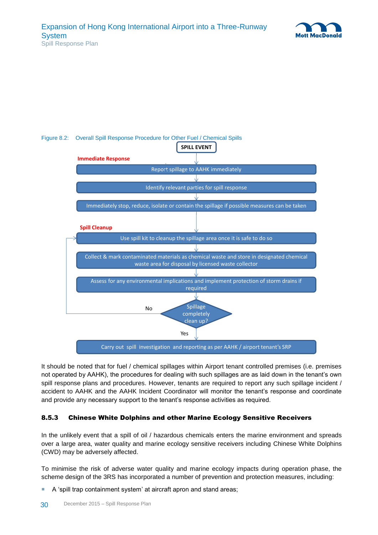



#### <span id="page-36-1"></span>Figure 8.2: Overall Spill Response Procedure for Other Fuel / Chemical Spills

It should be noted that for fuel / chemical spillages within Airport tenant controlled premises (i.e. premises not operated by AAHK), the procedures for dealing with such spillages are as laid down in the tenant's own spill response plans and procedures. However, tenants are required to report any such spillage incident / accident to AAHK and the AAHK Incident Coordinator will monitor the tenant's response and coordinate and provide any necessary support to the tenant's response activities as required.

#### <span id="page-36-0"></span>8.5.3 Chinese White Dolphins and other Marine Ecology Sensitive Receivers

In the unlikely event that a spill of oil / hazardous chemicals enters the marine environment and spreads over a large area, water quality and marine ecology sensitive receivers including Chinese White Dolphins (CWD) may be adversely affected.

To minimise the risk of adverse water quality and marine ecology impacts during operation phase, the scheme design of the 3RS has incorporated a number of prevention and protection measures, including:

A 'spill trap containment system' at aircraft apron and stand areas;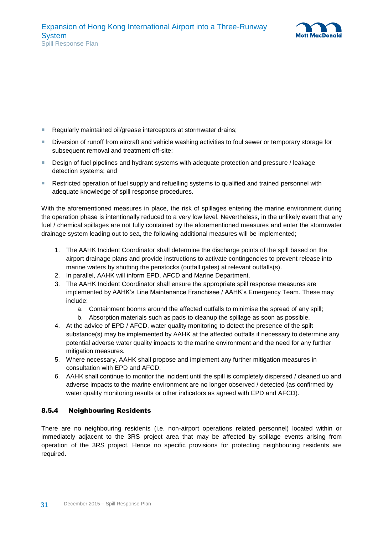

- Regularly maintained oil/grease interceptors at stormwater drains:
- Diversion of runoff from aircraft and vehicle washing activities to foul sewer or temporary storage for subsequent removal and treatment off-site;
- **Design of fuel pipelines and hydrant systems with adequate protection and pressure / leakage** detection systems; and
- Restricted operation of fuel supply and refuelling systems to qualified and trained personnel with adequate knowledge of spill response procedures.

With the aforementioned measures in place, the risk of spillages entering the marine environment during the operation phase is intentionally reduced to a very low level. Nevertheless, in the unlikely event that any fuel / chemical spillages are not fully contained by the aforementioned measures and enter the stormwater drainage system leading out to sea, the following additional measures will be implemented;

- 1. The AAHK Incident Coordinator shall determine the discharge points of the spill based on the airport drainage plans and provide instructions to activate contingencies to prevent release into marine waters by shutting the penstocks (outfall gates) at relevant outfalls(s).
- 2. In parallel, AAHK will inform EPD, AFCD and Marine Department.
- 3. The AAHK Incident Coordinator shall ensure the appropriate spill response measures are implemented by AAHK's Line Maintenance Franchisee / AAHK's Emergency Team. These may include:
	- a. Containment booms around the affected outfalls to minimise the spread of any spill;
	- b. Absorption materials such as pads to cleanup the spillage as soon as possible.
- 4. At the advice of EPD / AFCD, water quality monitoring to detect the presence of the spilt substance(s) may be implemented by AAHK at the affected outfalls if necessary to determine any potential adverse water quality impacts to the marine environment and the need for any further mitigation measures.
- 5. Where necessary, AAHK shall propose and implement any further mitigation measures in consultation with EPD and AFCD.
- 6. AAHK shall continue to monitor the incident until the spill is completely dispersed / cleaned up and adverse impacts to the marine environment are no longer observed / detected (as confirmed by water quality monitoring results or other indicators as agreed with EPD and AFCD).

#### <span id="page-37-0"></span>8.5.4 Neighbouring Residents

There are no neighbouring residents (i.e. non-airport operations related personnel) located within or immediately adjacent to the 3RS project area that may be affected by spillage events arising from operation of the 3RS project. Hence no specific provisions for protecting neighbouring residents are required.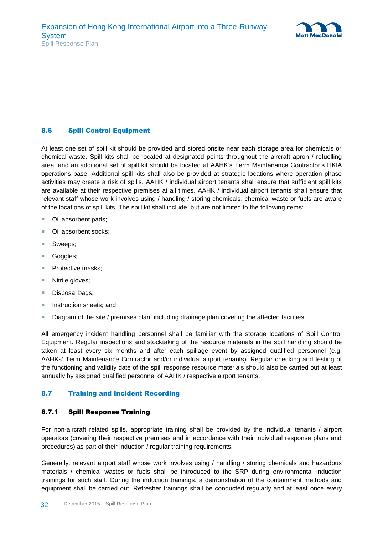

#### <span id="page-38-0"></span>8.6 Spill Control Equipment

At least one set of spill kit should be provided and stored onsite near each storage area for chemicals or chemical waste. Spill kits shall be located at designated points throughout the aircraft apron / refuelling area, and an additional set of spill kit should be located at AAHK's Term Maintenance Contractor's HKIA operations base. Additional spill kits shall also be provided at strategic locations where operation phase activities may create a risk of spills. AAHK / individual airport tenants shall ensure that sufficient spill kits are available at their respective premises at all times. AAHK / individual airport tenants shall ensure that relevant staff whose work involves using / handling / storing chemicals, chemical waste or fuels are aware of the locations of spill kits. The spill kit shall include, but are not limited to the following items:

- Oil absorbent pads:
- Oil absorbent socks;
- Sweeps;
- Goggles;
- Protective masks;
- Nitrile gloves;
- Disposal bags;
- **Instruction sheets; and**
- **Diagram of the site / premises plan, including drainage plan covering the affected facilities.**

All emergency incident handling personnel shall be familiar with the storage locations of Spill Control Equipment. Regular inspections and stocktaking of the resource materials in the spill handling should be taken at least every six months and after each spillage event by assigned qualified personnel (e.g. AAHKs' Term Maintenance Contractor and/or individual airport tenants). Regular checking and testing of the functioning and validity date of the spill response resource materials should also be carried out at least annually by assigned qualified personnel of AAHK / respective airport tenants.

#### <span id="page-38-2"></span><span id="page-38-1"></span>8.7 Training and Incident Recording

#### 8.7.1 Spill Response Training

For non-aircraft related spills, appropriate training shall be provided by the individual tenants / airport operators (covering their respective premises and in accordance with their individual response plans and procedures) as part of their induction / regular training requirements.

Generally, relevant airport staff whose work involves using / handling / storing chemicals and hazardous materials / chemical wastes or fuels shall be introduced to the SRP during environmental induction trainings for such staff. During the induction trainings, a demonstration of the containment methods and equipment shall be carried out. Refresher trainings shall be conducted regularly and at least once every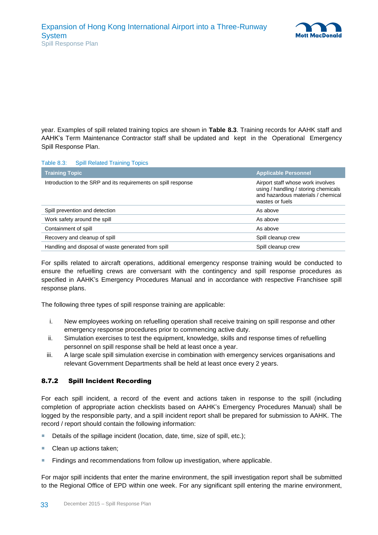

year. Examples of spill related training topics are shown in **[Table 8.3](#page-39-1)**. Training records for AAHK staff and AAHK's Term Maintenance Contractor staff shall be updated and kept in the Operational Emergency Spill Response Plan.

#### <span id="page-39-1"></span>Table 8.3: Spill Related Training Topics

| <b>Training Topic</b>                                          | <b>Applicable Personnel</b>                                                                                                        |
|----------------------------------------------------------------|------------------------------------------------------------------------------------------------------------------------------------|
| Introduction to the SRP and its requirements on spill response | Airport staff whose work involves<br>using / handling / storing chemicals<br>and hazardous materials / chemical<br>wastes or fuels |
| Spill prevention and detection                                 | As above                                                                                                                           |
| Work safety around the spill                                   | As above                                                                                                                           |
| Containment of spill                                           | As above                                                                                                                           |
| Recovery and cleanup of spill                                  | Spill cleanup crew                                                                                                                 |
| Handling and disposal of waste generated from spill            | Spill cleanup crew                                                                                                                 |

For spills related to aircraft operations, additional emergency response training would be conducted to ensure the refuelling crews are conversant with the contingency and spill response procedures as specified in AAHK's Emergency Procedures Manual and in accordance with respective Franchisee spill response plans.

The following three types of spill response training are applicable:

- i. New employees working on refuelling operation shall receive training on spill response and other emergency response procedures prior to commencing active duty.
- ii. Simulation exercises to test the equipment, knowledge, skills and response times of refuelling personnel on spill response shall be held at least once a year.
- iii. A large scale spill simulation exercise in combination with emergency services organisations and relevant Government Departments shall be held at least once every 2 years.

#### <span id="page-39-0"></span>8.7.2 Spill Incident Recording

For each spill incident, a record of the event and actions taken in response to the spill (including completion of appropriate action checklists based on AAHK's Emergency Procedures Manual) shall be logged by the responsible party, and a spill incident report shall be prepared for submission to AAHK. The record / report should contain the following information:

- Details of the spillage incident (location, date, time, size of spill, etc.);
- Clean up actions taken;
- **Findings and recommendations from follow up investigation, where applicable.**

For major spill incidents that enter the marine environment, the spill investigation report shall be submitted to the Regional Office of EPD within one week. For any significant spill entering the marine environment,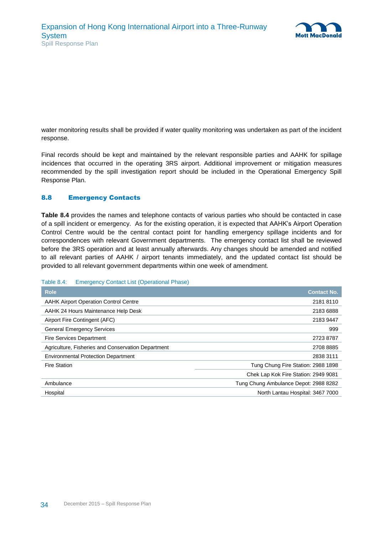

water monitoring results shall be provided if water quality monitoring was undertaken as part of the incident response.

Final records should be kept and maintained by the relevant responsible parties and AAHK for spillage incidences that occurred in the operating 3RS airport. Additional improvement or mitigation measures recommended by the spill investigation report should be included in the Operational Emergency Spill Response Plan.

### <span id="page-40-0"></span>8.8 Emergency Contacts

**[Table 8.4](#page-40-1)** provides the names and telephone contacts of various parties who should be contacted in case of a spill incident or emergency. As for the existing operation, it is expected that AAHK's Airport Operation Control Centre would be the central contact point for handling emergency spillage incidents and for correspondences with relevant Government departments. The emergency contact list shall be reviewed before the 3RS operation and at least annually afterwards. Any changes should be amended and notified to all relevant parties of AAHK / airport tenants immediately, and the updated contact list should be provided to all relevant government departments within one week of amendment.

#### <span id="page-40-1"></span>Table 8.4: Emergency Contact List (Operational Phase)

| <b>Role</b>                                        | <b>Contact No.</b>                    |
|----------------------------------------------------|---------------------------------------|
| <b>AAHK Airport Operation Control Centre</b>       | 2181 8110                             |
| AAHK 24 Hours Maintenance Help Desk                | 2183 6888                             |
| Airport Fire Contingent (AFC)                      | 2183 9447                             |
| <b>General Emergency Services</b>                  | 999                                   |
| <b>Fire Services Department</b>                    | 2723 8787                             |
| Agriculture, Fisheries and Conservation Department | 2708 8885                             |
| <b>Environmental Protection Department</b>         | 2838 3111                             |
| <b>Fire Station</b>                                | Tung Chung Fire Station: 2988 1898    |
|                                                    | Chek Lap Kok Fire Station: 2949 9081  |
| Ambulance                                          | Tung Chung Ambulance Depot: 2988 8282 |
| Hospital                                           | North Lantau Hospital: 3467 7000      |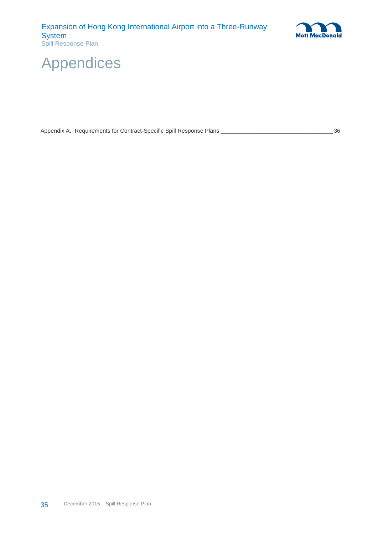

# <span id="page-41-0"></span>Appendices

|  |  |  | Appendix A. Requirements for Contract-Specific Spill Response Plans |  | 36 |
|--|--|--|---------------------------------------------------------------------|--|----|
|--|--|--|---------------------------------------------------------------------|--|----|